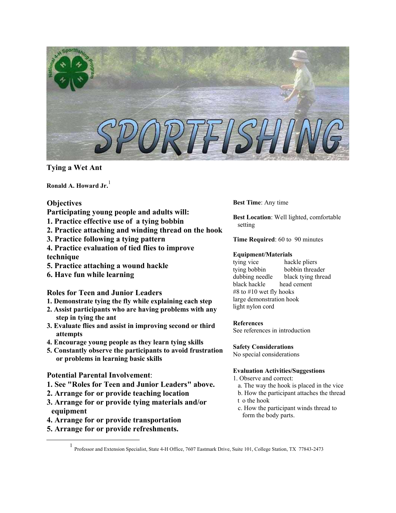

**Tying a Wet Ant**

**Ronald A. Howard Jr.** [1](#page-0-0)

# **Objectives**

- **Participating young people and adults will:**
- **1. Practice effective use of a tying bobbin**
- **2. Practice attaching and winding thread on the hook**
- **3. Practice following a tying pattern**
- **4. Practice evaluation of tied flies to improve technique**
- **5. Practice attaching a wound hackle**
- **6. Have fun while learning**

**Roles for Teen and Junior Leaders**

- **1. Demonstrate tying the fly while explaining each step**
- **2. Assist participants who are having problems with any step in tying the ant**
- **3. Evaluate flies and assist in improving second or third attempts**
- **4. Encourage young people as they learn tying skills**
- **5. Constantly observe the participants to avoid frustration or problems in learning basic skills**

# **Potential Parental Involvement**:

- **1. See "Roles for Teen and Junior Leaders" above.**
- **2. Arrange for or provide teaching location**
- **3. Arrange for or provide tying materials and/or equipment**
- **4. Arrange for or provide transportation**
- **5. Arrange for or provide refreshments.**

**Best Time**: Any time

**Best Location**: Well lighted, comfortable setting

**Time Required**: 60 to 90 minutes

# **Equipment/Materials**

tying vice hackle pliers tying bobbin bobbin threader dubbing needle black tying thread black hackle head cement #8 to #10 wet fly hooks large demonstration hook light nylon cord

## **References**

See references in introduction

# **Safety Considerations**

No special considerations

# **Evaluation Activities/Suggestions**

- 1. Observe and correct:
- a. The way the hook is placed in the vice
- b. How the participant attaches the thread t o the hook
- c. How the participant winds thread to form the body parts.

<span id="page-0-0"></span><sup>&</sup>lt;u>1</u> Professor and Extension Specialist, State 4-H Office, 7607 Eastmark Drive, Suite 101, College Station, TX 77843-2473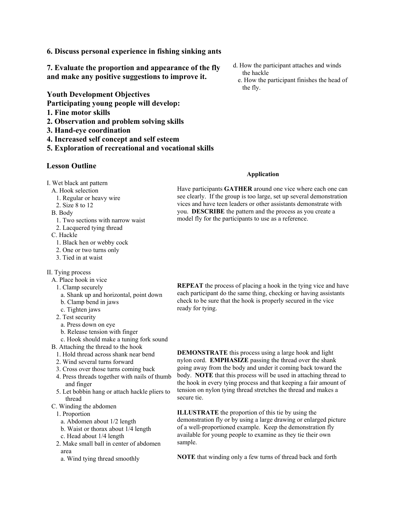**6. Discuss personal experience in fishing sinking ants** 

**7. Evaluate the proportion and appearance of the fly and make any positive suggestions to improve it.** 

**Youth Development Objectives**

**Participating young people will develop:** 

- **1. Fine motor skills**
- **2. Observation and problem solving skills**
- **3. Hand-eye coordination**
- **4. Increased self concept and self esteem**
- **5. Exploration of recreational and vocational skills**

# **Lesson Outline**

- I. Wet black ant pattern
	- A. Hook selection
	- 1. Regular or heavy wire
	- 2. Size 8 to 12
	- B. Body
		- 1. Two sections with narrow waist
	- 2. Lacquered tying thread
	- C. Hackle
		- 1. Black hen or webby cock
	- 2. One or two turns only
	- 3. Tied in at waist
- II. Tying process
	- A. Place hook in vice
		- 1. Clamp securely
		- a. Shank up and horizontal, point down
		- b. Clamp bend in jaws
		- c. Tighten jaws
		- 2. Test security
		- a. Press down on eye
		- b. Release tension with finger
	- c. Hook should make a tuning fork sound
	- B. Attaching the thread to the hook
		- 1. Hold thread across shank near bend
		- 2. Wind several turns forward
		- 3. Cross over those turns coming back
	- 4. Press threads together with nails of thumb and finger
	- 5. Let bobbin hang or attach hackle pliers to thread
	- C. Winding the abdomen
	- 1. Proportion
		- a. Abdomen about 1/2 length
	- b. Waist or thorax about 1/4 length
	- c. Head about 1/4 length
	- 2. Make small ball in center of abdomen area
		- a. Wind tying thread smoothly
- d. How the participant attaches and winds the hackle
- e. How the participant finishes the head of the fly.

### **Application**

Have participants **GATHER** around one vice where each one can see clearly. If the group is too large, set up several demonstration vices and have teen leaders or other assistants demonstrate with you. **DESCRIBE** the pattern and the process as you create a model fly for the participants to use as a reference.

**REPEAT** the process of placing a hook in the tying vice and have each participant do the same thing, checking or having assistants check to be sure that the hook is properly secured in the vice ready for tying.

**DEMONSTRATE** this process using a large hook and light nylon cord. **EMPHASIZE** passing the thread over the shank going away from the body and under it coming back toward the body. **NOTE** that this process will be used in attaching thread to the hook in every tying process and that keeping a fair amount of tension on nylon tying thread stretches the thread and makes a secure tie.

**ILLUSTRATE** the proportion of this tie by using the demonstration fly or by using a large drawing or enlarged picture of a well-proportioned example. Keep the demonstration fly available for young people to examine as they tie their own sample.

**NOTE** that winding only a few turns of thread back and forth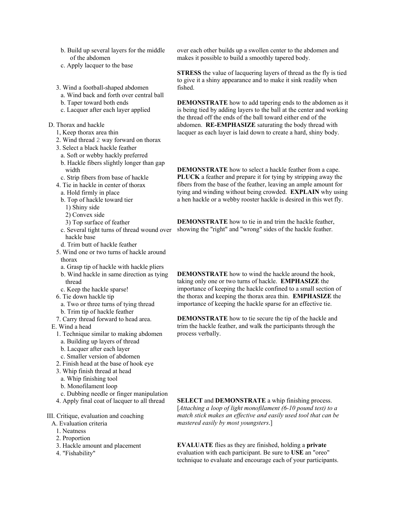- b. Build up several layers for the middle of the abdomen
- c. Apply lacquer to the base
- 3. Wind a football-shaped abdomen
- a. Wind back and forth over central ball
- b. Taper toward both ends
- c. Lacquer after each layer applied
- D. Thorax and hackle
	- 1, Keep thorax area thin
	- 2. Wind thread 2 way forward on thorax
	- 3. Select a black hackle feather
	- a. Soft or webby hackly preferred
	- b. Hackle fibers slightly longer than gap width
	- c. Strip fibers from base of hackle
	- 4. Tie in hackle in center of thorax
		- a. Hold firmly in place
		- b. Top of hackle toward tier
		- 1) Shiny side
		- 2) Convex side
		- 3) Top surface of feather
		- hackle base
		- d. Trim butt of hackle feather
	- 5. Wind one or two turns of hackle around thorax
	- a. Grasp tip of hackle with hackle pliers
	- b. Wind hackle in same direction as tying
	- thread
	- c. Keep the hackle sparse!
	- 6. Tie down hackle tip
	- a. Two or three turns of tying thread
	- b. Trim tip of hackle feather
	- 7. Carry thread forward to head area.
- E. Wind a head
	- 1. Technique similar to making abdomen
	- a. Building up layers of thread
	- b. Lacquer after each layer
	- c. Smaller version of abdomen
	- 2. Finish head at the base of hook eye
	- 3. Whip finish thread at head
	- a. Whip finishing tool
	- b. Monofilament loop
	- c. Dubbing needle or finger manipulation
	- 4. Apply final coat of lacquer to all thread
- III. Critique, evaluation and coaching
	- A. Evaluation criteria
		- 1. Neatness
		- 2. Proportion
		- 3. Hackle amount and placement
		- 4. "Fishability"

over each other builds up a swollen center to the abdomen and makes it possible to build a smoothly tapered body.

**STRESS** the value of lacquering layers of thread as the fly is tied to give it a shiny appearance and to make it sink readily when fished.

**DEMONSTRATE** how to add tapering ends to the abdomen as it is being tied by adding layers to the ball at the center and working the thread off the ends of the ball toward either end of the abdomen. **RE-EMPHASIZE** saturating the body thread with lacquer as each layer is laid down to create a hard, shiny body.

**DEMONSTRATE** how to select a hackle feather from a cape. **PLUCK** a feather and prepare it for tying by stripping away the fibers from the base of the feather, leaving an ample amount for tying and winding without being crowded. **EXPLAIN** why using a hen hackle or a webby rooster hackle is desired in this wet fly.

c. Several tight turns of thread wound over showing the "right" and "wrong" sides of the hackle feather. **DEMONSTRATE** how to tie in and trim the hackle feather,

> **DEMONSTRATE** how to wind the hackle around the hook, taking only one or two turns of hackle. **EMPHASIZE** the importance of keeping the hackle confined to a small section of the thorax and keeping the thorax area thin. **EMPHASIZE** the importance of keeping the hackle sparse for an effective tie.

**DEMONSTRATE** how to tie secure the tip of the hackle and trim the hackle feather, and walk the participants through the process verbally.

**SELECT** and **DEMONSTRATE** a whip finishing process. [*Attaching a loop of light monofilament (6-10 pound test) to a match stick makes an effective and easily used tool that can be mastered easily by most youngsters*.]

**EVALUATE** flies as they are finished, holding a **private** evaluation with each participant. Be sure to **USE** an "oreo" technique to evaluate and encourage each of your participants.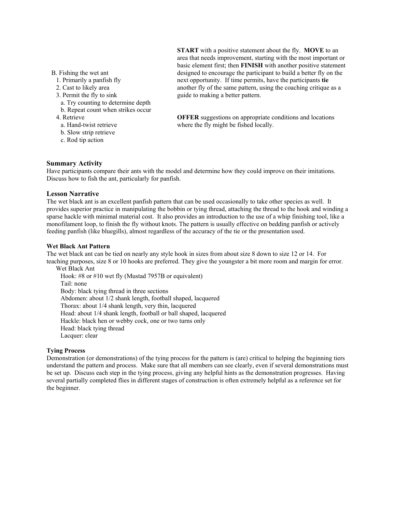### B. Fishing the wet ant

- 1. Primarily a panfish fly
- 2. Cast to likely area
- 3. Permit the fly to sink
- a. Try counting to determine depth
- b. Repeat count when strikes occur
- 4. Retrieve
	- a. Hand-twist retrieve
	- b. Slow strip retrieve
	- c. Rod tip action

**START** with a positive statement about the fly. **MOVE** to an area that needs improvement, starting with the most important or basic element first; then **FINISH** with another positive statement designed to encourage the participant to build a better fly on the next opportunity. If time permits, have the participants **tie** another fly of the same pattern, using the coaching critique as a guide to making a better pattern.

**OFFER** suggestions on appropriate conditions and locations where the fly might be fished locally.

### **Summary Activity**

Have participants compare their ants with the model and determine how they could improve on their imitations. Discuss how to fish the ant, particularly for panfish.

### **Lesson Narrative**

The wet black ant is an excellent panfish pattern that can be used occasionally to take other species as well. It provides superior practice in manipulating the bobbin or tying thread, attaching the thread to the hook and winding a sparse hackle with minimal material cost. It also provides an introduction to the use of a whip finishing tool, like a monofilament loop, to finish the fly without knots. The pattern is usually effective on bedding panfish or actively feeding panfish (like bluegills), almost regardless of the accuracy of the tie or the presentation used.

### **Wet Black Ant Pattern**

The wet black ant can be tied on nearly any style hook in sizes from about size 8 down to size 12 or 14. For teaching purposes, size 8 or 10 hooks are preferred. They give the youngster a bit more room and margin for error.

Wet Black Ant Hook: #8 or #10 wet fly (Mustad 7957B or equivalent) Tail: none Body: black tying thread in three sections Abdomen: about 1/2 shank length, football shaped, lacquered Thorax: about 1/4 shank length, very thin, lacquered Head: about 1/4 shank length, football or ball shaped, lacquered Hackle: black hen or webby cock, one or two turns only Head: black tying thread Lacquer: clear

## **Tying Process**

Demonstration (or demonstrations) of the tying process for the pattern is (are) critical to helping the beginning tiers understand the pattern and process. Make sure that all members can see clearly, even if several demonstrations must be set up. Discuss each step in the tying process, giving any helpful hints as the demonstration progresses. Having several partially completed flies in different stages of construction is often extremely helpful as a reference set for the beginner.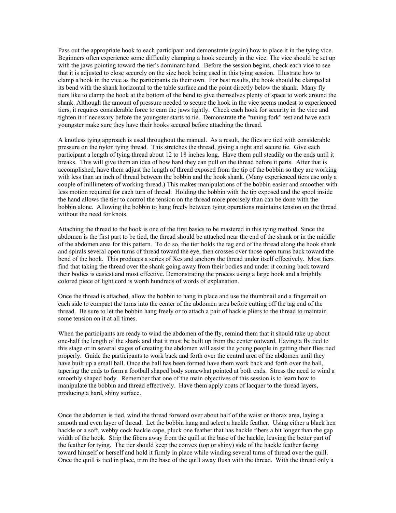Pass out the appropriate hook to each participant and demonstrate (again) how to place it in the tying vice. Beginners often experience some difficulty clamping a hook securely in the vice. The vice should be set up with the jaws pointing toward the tier's dominant hand. Before the session begins, check each vice to see that it is adjusted to close securely on the size hook being used in this tying session. Illustrate how to clamp a hook in the vice as the participants do their own. For best results, the hook should be clamped at its bend with the shank horizontal to the table surface and the point directly below the shank. Many fly tiers like to clamp the hook at the bottom of the bend to give themselves plenty of space to work around the shank. Although the amount of pressure needed to secure the hook in the vice seems modest to experienced tiers, it requires considerable force to cam the jaws tightly. Check each hook for security in the vice and tighten it if necessary before the youngster starts to tie. Demonstrate the "tuning fork" test and have each youngster make sure they have their hooks secured before attaching the thread.

A knotless tying approach is used throughout the manual. As a result, the flies are tied with considerable pressure on the nylon tying thread. This stretches the thread, giving a tight and secure tie. Give each participant a length of tying thread about 12 to 18 inches long. Have them pull steadily on the ends until it breaks. This will give them an idea of how hard they can pull on the thread before it parts. After that is accomplished, have them adjust the length of thread exposed from the tip of the bobbin so they are working with less than an inch of thread between the bobbin and the hook shank. (Many experienced tiers use only a couple of millimeters of working thread.) This makes manipulations of the bobbin easier and smoother with less motion required for each turn of thread. Holding the bobbin with the tip exposed and the spool inside the hand allows the tier to control the tension on the thread more precisely than can be done with the bobbin alone. Allowing the bobbin to hang freely between tying operations maintains tension on the thread without the need for knots.

Attaching the thread to the hook is one of the first basics to be mastered in this tying method. Since the abdomen is the first part to be tied, the thread should be attached near the end of the shank or in the middle of the abdomen area for this pattern. To do so, the tier holds the tag end of the thread along the hook shank and spirals several open turns of thread toward the eye, then crosses over those open turns back toward the bend of the hook. This produces a series of Xes and anchors the thread under itself effectively. Most tiers find that taking the thread over the shank going away from their bodies and under it coming back toward their bodies is easiest and most effective. Demonstrating the process using a large hook and a brightly colored piece of light cord is worth hundreds of words of explanation.

Once the thread is attached, allow the bobbin to hang in place and use the thumbnail and a fingernail on each side to compact the turns into the center of the abdomen area before cutting off the tag end of the thread. Be sure to let the bobbin hang freely or to attach a pair of hackle pliers to the thread to maintain some tension on it at all times.

When the participants are ready to wind the abdomen of the fly, remind them that it should take up about one-half the length of the shank and that it must be built up from the center outward. Having a fly tied to this stage or in several stages of creating the abdomen will assist the young people in getting their flies tied properly. Guide the participants to work back and forth over the central area of the abdomen until they have built up a small ball. Once the ball has been formed have them work back and forth over the ball, tapering the ends to form a football shaped body somewhat pointed at both ends. Stress the need to wind a smoothly shaped body. Remember that one of the main objectives of this session is to learn how to manipulate the bobbin and thread effectively. Have them apply coats of lacquer to the thread layers, producing a hard, shiny surface.

Once the abdomen is tied, wind the thread forward over about half of the waist or thorax area, laying a smooth and even layer of thread. Let the bobbin hang and select a hackle feather. Using either a black hen hackle or a soft, webby cock hackle cape, pluck one feather that has hackle fibers a bit longer than the gap width of the hook. Strip the fibers away from the quill at the base of the hackle, leaving the better part of the feather for tying. The tier should keep the convex (top or shiny) side of the hackle feather facing toward himself or herself and hold it firmly in place while winding several turns of thread over the quill. Once the quill is tied in place, trim the base of the quill away flush with the thread. With the thread only a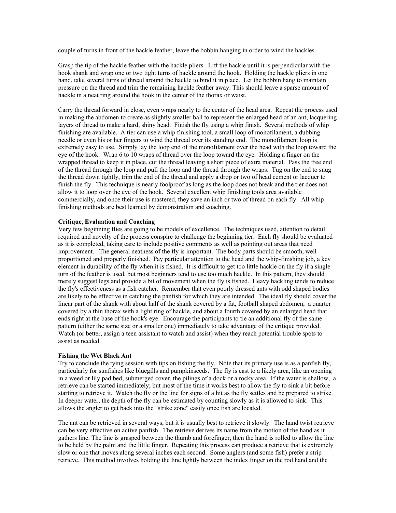couple of turns in front of the hackle feather, leave the bobbin hanging in order to wind the hackles.

Grasp the tip of the hackle feather with the hackle pliers. Lift the hackle until it is perpendicular with the hook shank and wrap one or two tight turns of hackle around the hook. Holding the hackle pliers in one hand, take several turns of thread around the hackle to bind it in place. Let the bobbin hang to maintain pressure on the thread and trim the remaining hackle feather away. This should leave a sparse amount of hackle in a neat ring around the hook in the center of the thorax or waist.

Carry the thread forward in close, even wraps nearly to the center of the head area. Repeat the process used in making the abdomen to create as slightly smaller ball to represent the enlarged head of an ant, lacquering layers of thread to make a hard, shiny head. Finish the fly using a whip finish. Several methods of whip finishing are available. A tier can use a whip finishing tool, a small loop of monofilament, a dubbing needle or even his or her fingers to wind the thread over its standing end. The monofilament loop is extremely easy to use. Simply lay the loop end of the monofilament over the head with the loop toward the eye of the hook. Wrap 6 to 10 wraps of thread over the loop toward the eye. Holding a finger on the wrapped thread to keep it in place, cut the thread leaving a short piece of extra material. Pass the free end of the thread through the loop and pull the loop and the thread through the wraps. Tug on the end to snug the thread down tightly, trim the end of the thread and apply a drop or two of head cement or lacquer to finish the fly. This technique is nearly foolproof as long as the loop does not break and the tier does not allow it to loop over the eye of the hook. Several excellent whip finishing tools area available commercially, and once their use is mastered, they save an inch or two of thread on each fly. All whip finishing methods are best learned by demonstration and coaching.

#### **Critique, Evaluation and Coaching**

Very few beginning flies are going to be models of excellence. The techniques used, attention to detail required and novelty of the process conspire to challenge the beginning tier. Each fly should be evaluated as it is completed, taking care to include positive comments as well as pointing out areas that need improvement. The general neatness of the fly is important. The body parts should be smooth, well proportioned and properly finished. Pay particular attention to the head and the whip-finishing job, a key element in durability of the fly when it is fished. It is difficult to get too little hackle on the fly if a single turn of the feather is used, but most beginners tend to use too much hackle. In this pattern, they should merely suggest legs and provide a bit of movement when the fly is fished. Heavy hackling tends to reduce the fly's effectiveness as a fish catcher. Remember that even poorly dressed ants with odd shaped bodies are likely to be effective in catching the panfish for which they are intended. The ideal fly should cover the linear part of the shank with about half of the shank covered by a fat, football shaped abdomen, a quarter covered by a thin thorax with a light ring of hackle, and about a fourth covered by an enlarged head that ends right at the base of the hook's eye. Encourage the participants to tie an additional fly of the same pattern (either the same size or a smaller one) immediately to take advantage of the critique provided. Watch (or better, assign a teen assistant to watch and assist) when they reach potential trouble spots to assist as needed.

#### **Fishing the Wet Black Ant**

Try to conclude the tying session with tips on fishing the fly. Note that its primary use is as a panfish fly, particularly for sunfishes like bluegills and pumpkinseeds. The fly is cast to a likely area, like an opening in a weed or lily pad bed, submerged cover, the pilings of a dock or a rocky area. If the water is shallow, a retrieve can be started immediately; but most of the time it works best to allow the fly to sink a bit before starting to retrieve it. Watch the fly or the line for signs of a hit as the fly settles and be prepared to strike. In deeper water, the depth of the fly can be estimated by counting slowly as it is allowed to sink. This allows the angler to get back into the "strike zone" easily once fish are located.

The ant can be retrieved in several ways, but it is usually best to retrieve it slowly. The hand twist retrieve can be very effective on active panfish. The retrieve derives its name from the motion of the hand as it gathers line. The line is grasped between the thumb and forefinger, then the hand is rolled to allow the line to be held by the palm and the little finger. Repeating this process can produce a retrieve that is extremely slow or one that moves along several inches each second. Some anglers (and some fish) prefer a strip retrieve. This method involves holding the line lightly between the index finger on the rod hand and the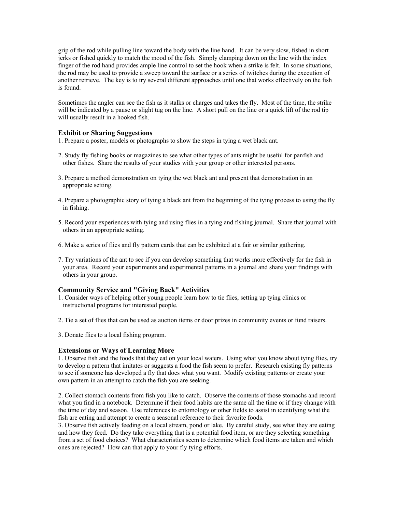grip of the rod while pulling line toward the body with the line hand. It can be very slow, fished in short jerks or fished quickly to match the mood of the fish. Simply clamping down on the line with the index finger of the rod hand provides ample line control to set the hook when a strike is felt. In some situations, the rod may be used to provide a sweep toward the surface or a series of twitches during the execution of another retrieve. The key is to try several different approaches until one that works effectively on the fish is found.

Sometimes the angler can see the fish as it stalks or charges and takes the fly. Most of the time, the strike will be indicated by a pause or slight tug on the line. A short pull on the line or a quick lift of the rod tip will usually result in a hooked fish.

# **Exhibit or Sharing Suggestions**

1. Prepare a poster, models or photographs to show the steps in tying a wet black ant.

- 2. Study fly fishing books or magazines to see what other types of ants might be useful for panfish and other fishes. Share the results of your studies with your group or other interested persons.
- 3. Prepare a method demonstration on tying the wet black ant and present that demonstration in an appropriate setting.
- 4. Prepare a photographic story of tying a black ant from the beginning of the tying process to using the fly in fishing.
- 5. Record your experiences with tying and using flies in a tying and fishing journal. Share that journal with others in an appropriate setting.
- 6. Make a series of flies and fly pattern cards that can be exhibited at a fair or similar gathering.
- 7. Try variations of the ant to see if you can develop something that works more effectively for the fish in your area. Record your experiments and experimental patterns in a journal and share your findings with others in your group.

# **Community Service and "Giving Back" Activities**

- 1. Consider ways of helping other young people learn how to tie flies, setting up tying clinics or instructional programs for interested people.
- 2. Tie a set of flies that can be used as auction items or door prizes in community events or fund raisers.
- 3. Donate flies to a local fishing program.

## **Extensions or Ways of Learning More**

1. Observe fish and the foods that they eat on your local waters. Using what you know about tying flies, try to develop a pattern that imitates or suggests a food the fish seem to prefer. Research existing fly patterns to see if someone has developed a fly that does what you want. Modify existing patterns or create your own pattern in an attempt to catch the fish you are seeking.

2. Collect stomach contents from fish you like to catch. Observe the contents of those stomachs and record what you find in a notebook. Determine if their food habits are the same all the time or if they change with the time of day and season. Use references to entomology or other fields to assist in identifying what the fish are eating and attempt to create a seasonal reference to their favorite foods.

3. Observe fish actively feeding on a local stream, pond or lake. By careful study, see what they are eating and how they feed. Do they take everything that is a potential food item, or are they selecting something from a set of food choices? What characteristics seem to determine which food items are taken and which ones are rejected? How can that apply to your fly tying efforts.